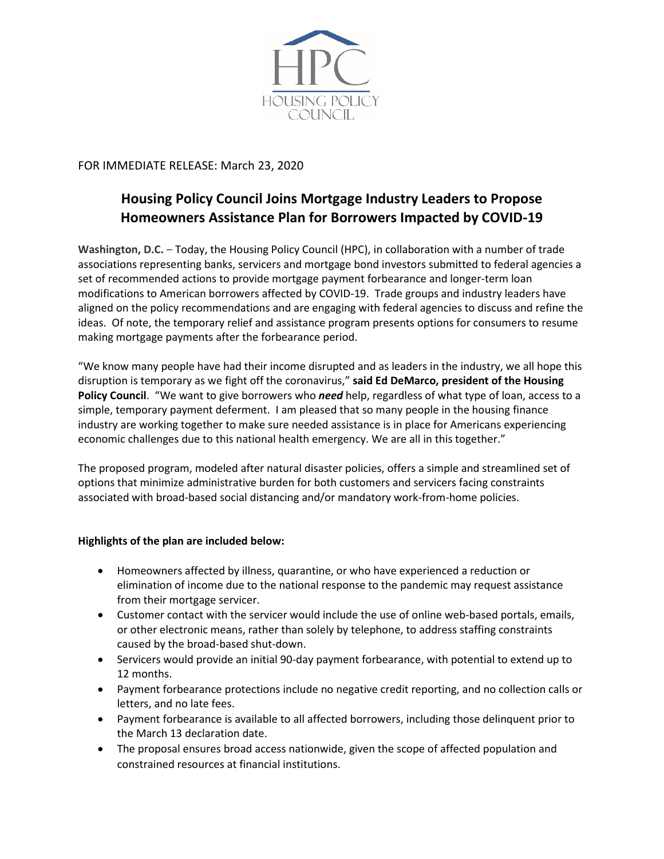

FOR IMMEDIATE RELEASE: March 23, 2020

## **Housing Policy Council Joins Mortgage Industry Leaders to Propose Homeowners Assistance Plan for Borrowers Impacted by COVID-19**

**Washington, D.C.** – Today, the Housing Policy Council (HPC), in collaboration with a number of trade associations representing banks, servicers and mortgage bond investors submitted to federal agencies a set of recommended actions to provide mortgage payment forbearance and longer-term loan modifications to American borrowers affected by COVID-19. Trade groups and industry leaders have aligned on the policy recommendations and are engaging with federal agencies to discuss and refine the ideas. Of note, the temporary relief and assistance program presents options for consumers to resume making mortgage payments after the forbearance period.

"We know many people have had their income disrupted and as leaders in the industry, we all hope this disruption is temporary as we fight off the coronavirus," **said Ed DeMarco, president of the Housing Policy Council**. "We want to give borrowers who *need* help, regardless of what type of loan, access to a simple, temporary payment deferment. I am pleased that so many people in the housing finance industry are working together to make sure needed assistance is in place for Americans experiencing economic challenges due to this national health emergency. We are all in this together."

The proposed program, modeled after natural disaster policies, offers a simple and streamlined set of options that minimize administrative burden for both customers and servicers facing constraints associated with broad-based social distancing and/or mandatory work-from-home policies.

## **Highlights of the plan are included below:**

- Homeowners affected by illness, quarantine, or who have experienced a reduction or elimination of income due to the national response to the pandemic may request assistance from their mortgage servicer.
- Customer contact with the servicer would include the use of online web-based portals, emails, or other electronic means, rather than solely by telephone, to address staffing constraints caused by the broad-based shut-down.
- Servicers would provide an initial 90-day payment forbearance, with potential to extend up to 12 months.
- Payment forbearance protections include no negative credit reporting, and no collection calls or letters, and no late fees.
- Payment forbearance is available to all affected borrowers, including those delinquent prior to the March 13 declaration date.
- The proposal ensures broad access nationwide, given the scope of affected population and constrained resources at financial institutions.